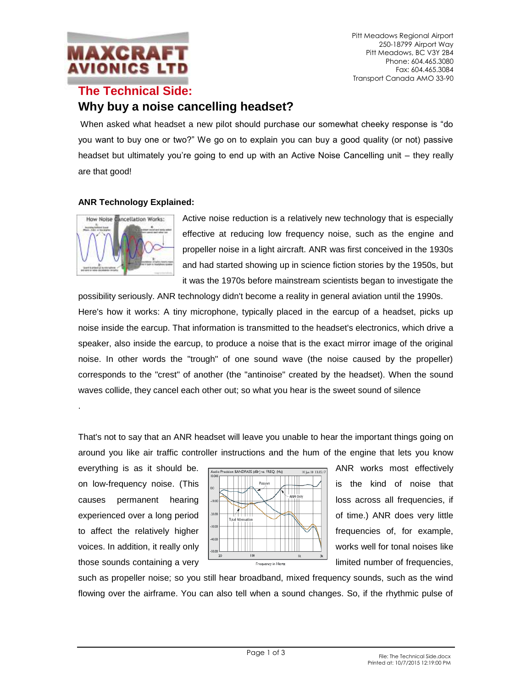

Pitt Meadows Regional Airport 250-18799 Airport Way Pitt Meadows, BC V3Y 2B4 Phone: 604.465.3080 Fax: 604.465.3084 Transport Canada AMO 33-90

## **The Technical Side: Why buy a noise cancelling headset?**

When asked what headset a new pilot should purchase our somewhat cheeky response is "do you want to buy one or two?" We go on to explain you can buy a good quality (or not) passive headset but ultimately you're going to end up with an Active Noise Cancelling unit – they really are that good!

## **ANR Technology Explained:**



.

Active noise reduction is a relatively new technology that is especially effective at reducing low frequency noise, such as the engine and propeller noise in a light aircraft. ANR was first conceived in the 1930s and had started showing up in science fiction stories by the 1950s, but it was the 1970s before mainstream scientists began to investigate the

possibility seriously. ANR technology didn't become a reality in general aviation until the 1990s. Here's how it works: A tiny microphone, typically placed in the earcup of a headset, picks up noise inside the earcup. That information is transmitted to the headset's electronics, which drive a speaker, also inside the earcup, to produce a noise that is the exact mirror image of the original noise. In other words the "trough" of one sound wave (the noise caused by the propeller) corresponds to the "crest" of another (the "antinoise" created by the headset). When the sound waves collide, they cancel each other out; so what you hear is the sweet sound of silence

That's not to say that an ANR headset will leave you unable to hear the important things going on around you like air traffic controller instructions and the hum of the engine that lets you know



such as propeller noise; so you still hear broadband, mixed frequency sounds, such as the wind flowing over the airframe. You can also tell when a sound changes. So, if the rhythmic pulse of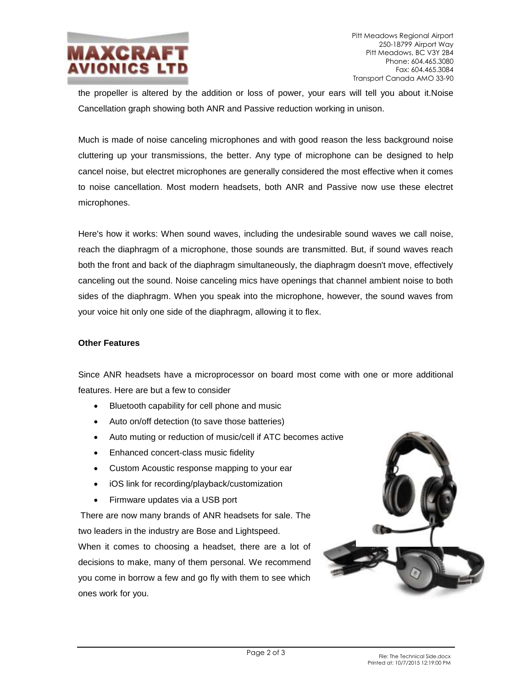

the propeller is altered by the addition or loss of power, your ears will tell you about it.Noise Cancellation graph showing both ANR and Passive reduction working in unison.

Much is made of noise canceling microphones and with good reason the less background noise cluttering up your transmissions, the better. Any type of microphone can be designed to help cancel noise, but electret microphones are generally considered the most effective when it comes to noise cancellation. Most modern headsets, both ANR and Passive now use these electret microphones.

Here's how it works: When sound waves, including the undesirable sound waves we call noise, reach the diaphragm of a microphone, those sounds are transmitted. But, if sound waves reach both the front and back of the diaphragm simultaneously, the diaphragm doesn't move, effectively canceling out the sound. Noise canceling mics have openings that channel ambient noise to both sides of the diaphragm. When you speak into the microphone, however, the sound waves from your voice hit only one side of the diaphragm, allowing it to flex.

## **Other Features**

Since ANR headsets have a microprocessor on board most come with one or more additional features. Here are but a few to consider

- Bluetooth capability for cell phone and music
- Auto on/off detection (to save those batteries)
- Auto muting or reduction of music/cell if ATC becomes active
- Enhanced concert-class music fidelity
- Custom Acoustic response mapping to your ear
- iOS link for recording/playback/customization
- Firmware updates via a USB port

There are now many brands of ANR headsets for sale. The two leaders in the industry are Bose and Lightspeed. When it comes to choosing a headset, there are a lot of decisions to make, many of them personal. We recommend

you come in borrow a few and go fly with them to see which ones work for you.